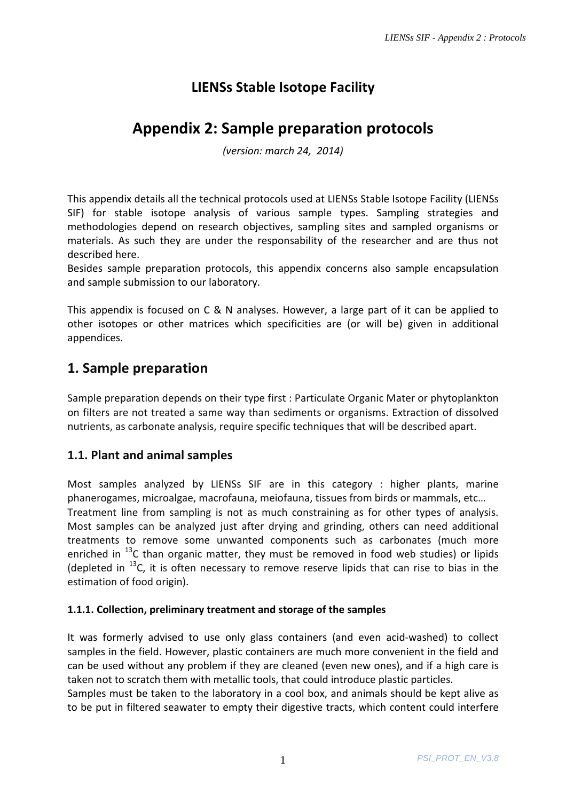# **LIENSs Stable Isotope Facility**

# **Appendix 2: Sample preparation protocols**

*(version: march 24, 2014)* 

This appendix details all the technical protocols used at LIENSs Stable Isotope Facility (LIENSs SIF) for stable isotope analysis of various sample types. Sampling strategies and methodologies depend on research objectives, sampling sites and sampled organisms or materials. As such they are under the responsability of the researcher and are thus not described here.

Besides sample preparation protocols, this appendix concerns also sample encapsulation and sample submission to our laboratory.

This appendix is focused on C & N analyses. However, a large part of it can be applied to other isotopes or other matrices which specificities are (or will be) given in additional appendices.

# **1. Sample preparation**

Sample preparation depends on their type first : Particulate Organic Mater or phytoplankton on filters are not treated a same way than sediments or organisms. Extraction of dissolved nutrients, as carbonate analysis, require specific techniques that will be described apart.

### **1.1. Plant and animal samples**

Most samples analyzed by LIENSs SIF are in this category : higher plants, marine phanerogames, microalgae, macrofauna, meiofauna, tissues from birds or mammals, etc… Treatment line from sampling is not as much constraining as for other types of analysis. Most samples can be analyzed just after drying and grinding, others can need additional treatments to remove some unwanted components such as carbonates (much more enriched in  $^{13}$ C than organic matter, they must be removed in food web studies) or lipids (depleted in  $^{13}$ C, it is often necessary to remove reserve lipids that can rise to bias in the estimation of food origin).

### **1.1.1. Collection, preliminary treatment and storage of the samples**

It was formerly advised to use only glass containers (and even acid-washed) to collect samples in the field. However, plastic containers are much more convenient in the field and can be used without any problem if they are cleaned (even new ones), and if a high care is taken not to scratch them with metallic tools, that could introduce plastic particles.

Samples must be taken to the laboratory in a cool box, and animals should be kept alive as to be put in filtered seawater to empty their digestive tracts, which content could interfere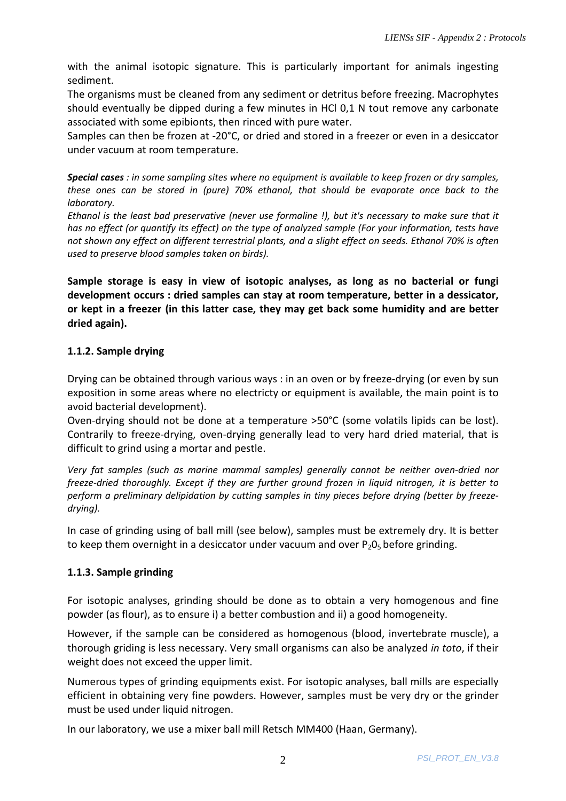with the animal isotopic signature. This is particularly important for animals ingesting sediment.

The organisms must be cleaned from any sediment or detritus before freezing. Macrophytes should eventually be dipped during a few minutes in HCl 0,1 N tout remove any carbonate associated with some epibionts, then rinced with pure water.

Samples can then be frozen at -20°C, or dried and stored in a freezer or even in a desiccator under vacuum at room temperature.

*Special cases : in some sampling sites where no equipment is available to keep frozen or dry samples, these ones can be stored in (pure) 70% ethanol, that should be evaporate once back to the laboratory.* 

*Ethanol is the least bad preservative (never use formaline !), but it's necessary to make sure that it has no effect (or quantify its effect) on the type of analyzed sample (For your information, tests have not shown any effect on different terrestrial plants, and a slight effect on seeds. Ethanol 70% is often used to preserve blood samples taken on birds).* 

**Sample storage is easy in view of isotopic analyses, as long as no bacterial or fungi development occurs : dried samples can stay at room temperature, better in a dessicator, or kept in a freezer (in this latter case, they may get back some humidity and are better dried again).** 

#### **1.1.2. Sample drying**

Drying can be obtained through various ways : in an oven or by freeze-drying (or even by sun exposition in some areas where no electricty or equipment is available, the main point is to avoid bacterial development).

Oven-drying should not be done at a temperature >50°C (some volatils lipids can be lost). Contrarily to freeze-drying, oven-drying generally lead to very hard dried material, that is difficult to grind using a mortar and pestle.

*Very fat samples (such as marine mammal samples) generally cannot be neither oven-dried nor freeze-dried thoroughly. Except if they are further ground frozen in liquid nitrogen, it is better to perform a preliminary delipidation by cutting samples in tiny pieces before drying (better by freezedrying).* 

In case of grinding using of ball mill (see below), samples must be extremely dry. It is better to keep them overnight in a desiccator under vacuum and over  $P_2O_5$  before grinding.

#### **1.1.3. Sample grinding**

For isotopic analyses, grinding should be done as to obtain a very homogenous and fine powder (as flour), as to ensure i) a better combustion and ii) a good homogeneity.

However, if the sample can be considered as homogenous (blood, invertebrate muscle), a thorough griding is less necessary. Very small organisms can also be analyzed *in toto*, if their weight does not exceed the upper limit.

Numerous types of grinding equipments exist. For isotopic analyses, ball mills are especially efficient in obtaining very fine powders. However, samples must be very dry or the grinder must be used under liquid nitrogen.

In our laboratory, we use a mixer ball mill Retsch MM400 (Haan, Germany).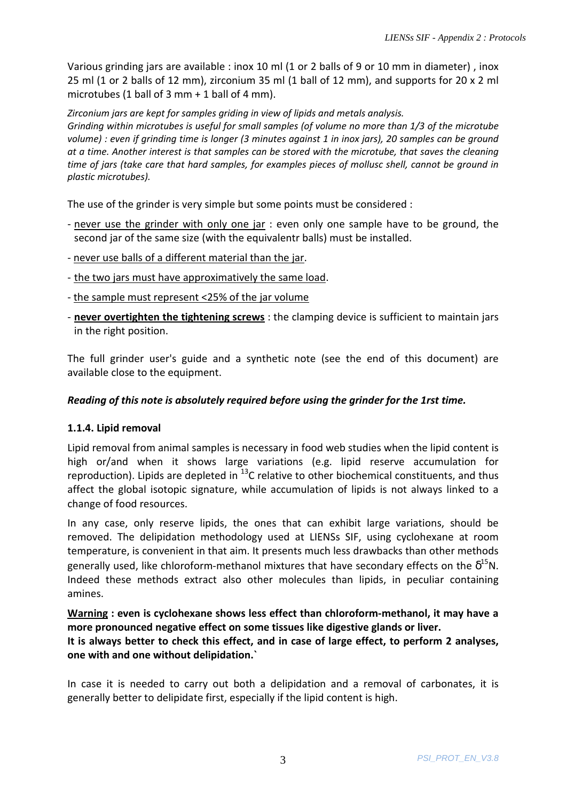Various grinding jars are available : inox 10 ml (1 or 2 balls of 9 or 10 mm in diameter) , inox 25 ml (1 or 2 balls of 12 mm), zirconium 35 ml (1 ball of 12 mm), and supports for 20 x 2 ml microtubes (1 ball of 3 mm  $+$  1 ball of 4 mm).

*Zirconium jars are kept for samples griding in view of lipids and metals analysis.* 

*Grinding within microtubes is useful for small samples (of volume no more than 1/3 of the microtube volume) : even if grinding time is longer (3 minutes against 1 in inox jars), 20 samples can be ground at a time. Another interest is that samples can be stored with the microtube, that saves the cleaning time of jars (take care that hard samples, for examples pieces of mollusc shell, cannot be ground in plastic microtubes).* 

The use of the grinder is very simple but some points must be considered :

- never use the grinder with only one jar : even only one sample have to be ground, the second jar of the same size (with the equivalentr balls) must be installed.
- never use balls of a different material than the jar.
- the two jars must have approximatively the same load.
- the sample must represent <25% of the jar volume
- **never overtighten the tightening screws** : the clamping device is sufficient to maintain jars in the right position.

The full grinder user's guide and a synthetic note (see the end of this document) are available close to the equipment.

#### *Reading of this note is absolutely required before using the grinder for the 1rst time.*

#### **1.1.4. Lipid removal**

Lipid removal from animal samples is necessary in food web studies when the lipid content is high or/and when it shows large variations (e.g. lipid reserve accumulation for reproduction). Lipids are depleted in  $^{13}$ C relative to other biochemical constituents, and thus affect the global isotopic signature, while accumulation of lipids is not always linked to a change of food resources.

In any case, only reserve lipids, the ones that can exhibit large variations, should be removed. The delipidation methodology used at LIENSs SIF, using cyclohexane at room temperature, is convenient in that aim. It presents much less drawbacks than other methods generally used, like chloroform-methanol mixtures that have secondary effects on the  $\delta^{15}$ N. Indeed these methods extract also other molecules than lipids, in peculiar containing amines.

#### **Warning : even is cyclohexane shows less effect than chloroform-methanol, it may have a more pronounced negative effect on some tissues like digestive glands or liver.**

**It is always better to check this effect, and in case of large effect, to perform 2 analyses, one with and one without delipidation.`** 

In case it is needed to carry out both a delipidation and a removal of carbonates, it is generally better to delipidate first, especially if the lipid content is high.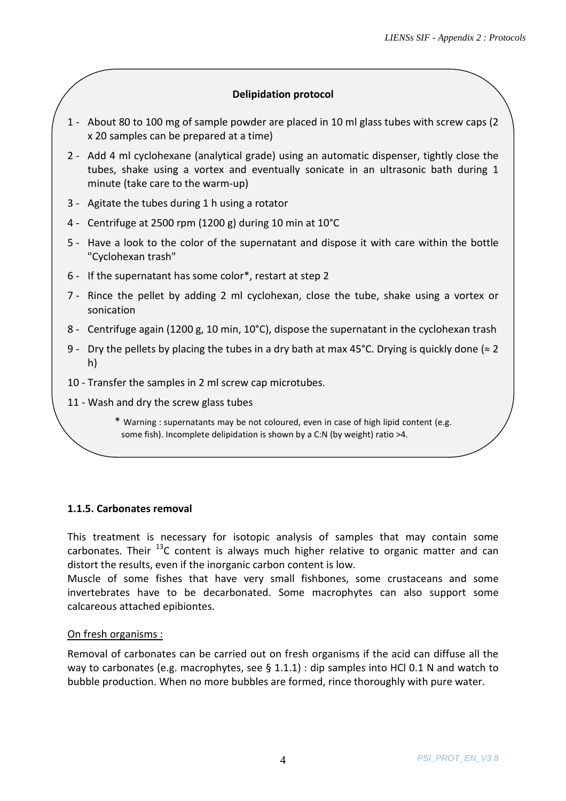#### **Delipidation protocol**

- 1 About 80 to 100 mg of sample powder are placed in 10 ml glass tubes with screw caps (2 x 20 samples can be prepared at a time)
- 2 Add 4 ml cyclohexane (analytical grade) using an automatic dispenser, tightly close the tubes, shake using a vortex and eventually sonicate in an ultrasonic bath during 1 minute (take care to the warm-up)
- 3 Agitate the tubes during 1 h using a rotator
- 4 Centrifuge at 2500 rpm (1200 g) during 10 min at 10°C
- 5 Have a look to the color of the supernatant and dispose it with care within the bottle "Cyclohexan trash"
- 6 If the supernatant has some color\*, restart at step 2
- 7 Rince the pellet by adding 2 ml cyclohexan, close the tube, shake using a vortex or sonication
- 8 Centrifuge again (1200 g, 10 min, 10°C), dispose the supernatant in the cyclohexan trash
- 9 Dry the pellets by placing the tubes in a dry bath at max 45°C. Drying is quickly done ( $\approx$  2 h)
- 10 Transfer the samples in 2 ml screw cap microtubes.
- 11 Wash and dry the screw glass tubes
	- \* Warning : supernatants may be not coloured, even in case of high lipid content (e.g. some fish). Incomplete delipidation is shown by a C:N (by weight) ratio >4.

#### **1.1.5. Carbonates removal**

This treatment is necessary for isotopic analysis of samples that may contain some carbonates. Their  $^{13}$ C content is always much higher relative to organic matter and can distort the results, even if the inorganic carbon content is low.

Muscle of some fishes that have very small fishbones, some crustaceans and some invertebrates have to be decarbonated. Some macrophytes can also support some calcareous attached epibiontes.

#### On fresh organisms :

Removal of carbonates can be carried out on fresh organisms if the acid can diffuse all the way to carbonates (e.g. macrophytes, see § 1.1.1) : dip samples into HCl 0.1 N and watch to bubble production. When no more bubbles are formed, rince thoroughly with pure water.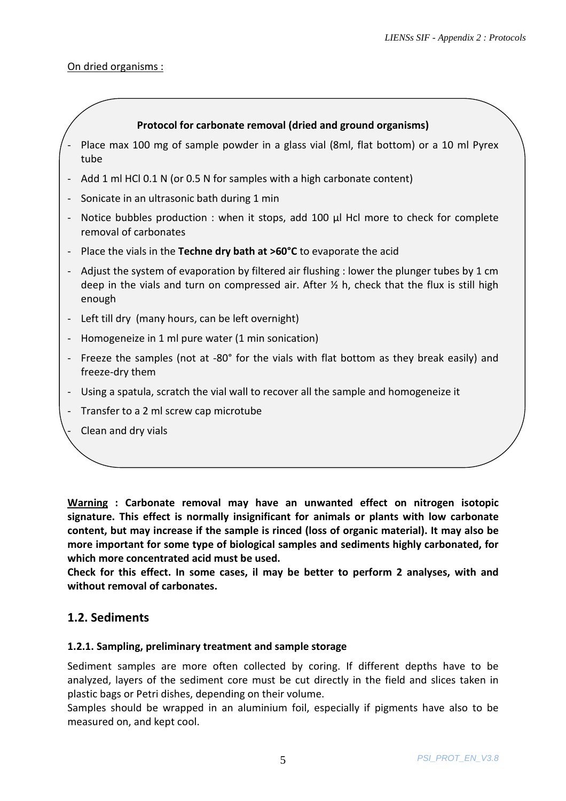#### On dried organisms :

#### **Protocol for carbonate removal (dried and ground organisms)**

- Place max 100 mg of sample powder in a glass vial (8ml, flat bottom) or a 10 ml Pyrex tube
- Add 1 ml HCl 0.1 N (or 0.5 N for samples with a high carbonate content)
- Sonicate in an ultrasonic bath during 1 min
- Notice bubbles production : when it stops, add 100 μl Hcl more to check for complete removal of carbonates
- Place the vials in the **Techne dry bath at >60°C** to evaporate the acid
- Adjust the system of evaporation by filtered air flushing : lower the plunger tubes by 1 cm deep in the vials and turn on compressed air. After ½ h, check that the flux is still high enough
- Left till dry (many hours, can be left overnight)
- Homogeneize in 1 ml pure water (1 min sonication)
- Freeze the samples (not at -80° for the vials with flat bottom as they break easily) and freeze-dry them
- Using a spatula, scratch the vial wall to recover all the sample and homogeneize it
- Transfer to a 2 ml screw cap microtube
	- Clean and dry vials

**Warning : Carbonate removal may have an unwanted effect on nitrogen isotopic signature. This effect is normally insignificant for animals or plants with low carbonate content, but may increase if the sample is rinced (loss of organic material). It may also be more important for some type of biological samples and sediments highly carbonated, for which more concentrated acid must be used.** 

**Check for this effect. In some cases, il may be better to perform 2 analyses, with and without removal of carbonates.** 

### **1.2. Sediments**

#### **1.2.1. Sampling, preliminary treatment and sample storage**

Sediment samples are more often collected by coring. If different depths have to be analyzed, layers of the sediment core must be cut directly in the field and slices taken in plastic bags or Petri dishes, depending on their volume.

Samples should be wrapped in an aluminium foil, especially if pigments have also to be measured on, and kept cool.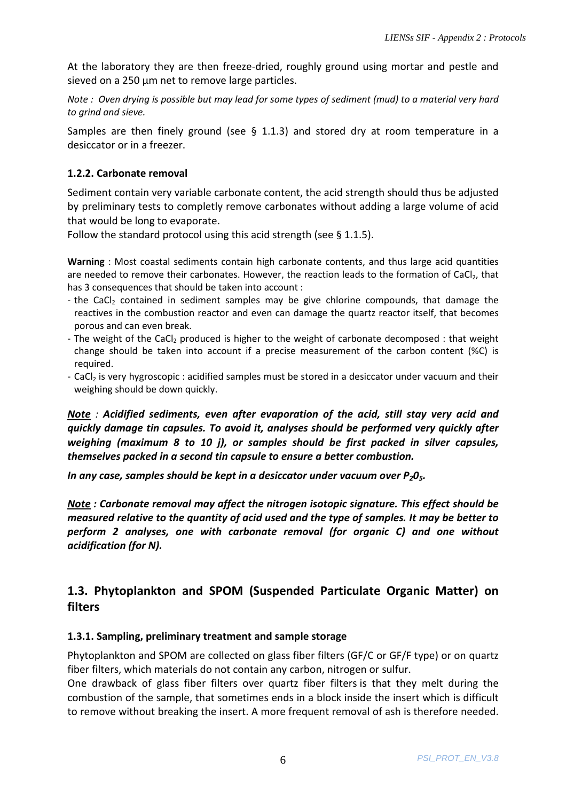At the laboratory they are then freeze-dried, roughly ground using mortar and pestle and sieved on a 250 μm net to remove large particles.

*Note : Oven drying is possible but may lead for some types of sediment (mud) to a material very hard to grind and sieve.*

Samples are then finely ground (see  $\S$  1.1.3) and stored dry at room temperature in a desiccator or in a freezer.

#### **1.2.2. Carbonate removal**

Sediment contain very variable carbonate content, the acid strength should thus be adjusted by preliminary tests to completly remove carbonates without adding a large volume of acid that would be long to evaporate.

Follow the standard protocol using this acid strength (see § 1.1.5).

**Warning** : Most coastal sediments contain high carbonate contents, and thus large acid quantities are needed to remove their carbonates. However, the reaction leads to the formation of CaCl<sub>2</sub>, that has 3 consequences that should be taken into account :

- the CaCl<sub>2</sub> contained in sediment samples may be give chlorine compounds, that damage the reactives in the combustion reactor and even can damage the quartz reactor itself, that becomes porous and can even break.
- The weight of the CaCl<sub>2</sub> produced is higher to the weight of carbonate decomposed : that weight change should be taken into account if a precise measurement of the carbon content (%C) is required.
- CaCl<sub>2</sub> is very hygroscopic : acidified samples must be stored in a desiccator under vacuum and their weighing should be down quickly.

*Note : Acidified sediments, even after evaporation of the acid, still stay very acid and quickly damage tin capsules. To avoid it, analyses should be performed very quickly after weighing (maximum 8 to 10 j), or samples should be first packed in silver capsules, themselves packed in a second tin capsule to ensure a better combustion.* 

*In any case, samples should be kept in a desiccator under vacuum over P205.* 

*Note : Carbonate removal may affect the nitrogen isotopic signature. This effect should be measured relative to the quantity of acid used and the type of samples. It may be better to perform 2 analyses, one with carbonate removal (for organic C) and one without acidification (for N).* 

### **1.3. Phytoplankton and SPOM (Suspended Particulate Organic Matter) on filters**

#### **1.3.1. Sampling, preliminary treatment and sample storage**

Phytoplankton and SPOM are collected on glass fiber filters (GF/C or GF/F type) or on quartz fiber filters, which materials do not contain any carbon, nitrogen or sulfur.

One drawback of glass fiber filters over quartz fiber filters is that they melt during the combustion of the sample, that sometimes ends in a block inside the insert which is difficult to remove without breaking the insert. A more frequent removal of ash is therefore needed.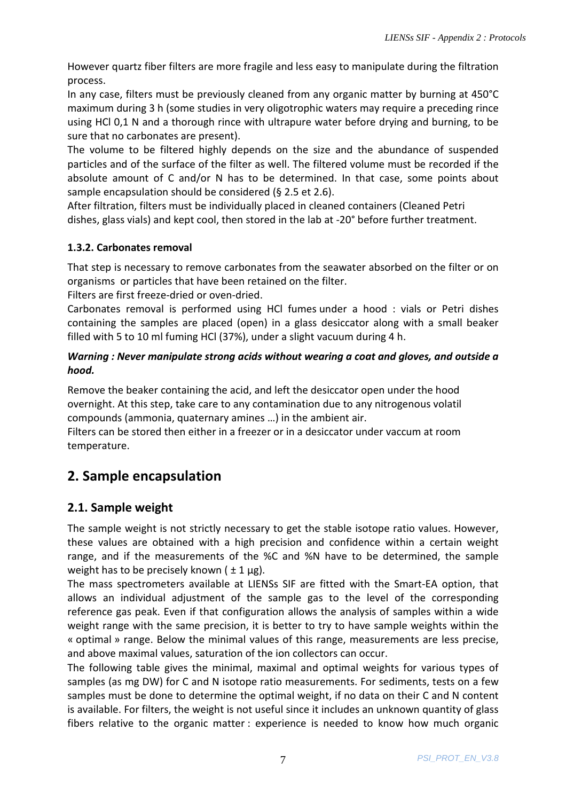However quartz fiber filters are more fragile and less easy to manipulate during the filtration process.

In any case, filters must be previously cleaned from any organic matter by burning at 450°C maximum during 3 h (some studies in very oligotrophic waters may require a preceding rince using HCl 0,1 N and a thorough rince with ultrapure water before drying and burning, to be sure that no carbonates are present).

The volume to be filtered highly depends on the size and the abundance of suspended particles and of the surface of the filter as well. The filtered volume must be recorded if the absolute amount of C and/or N has to be determined. In that case, some points about sample encapsulation should be considered (§ 2.5 et 2.6).

After filtration, filters must be individually placed in cleaned containers (Cleaned Petri dishes, glass vials) and kept cool, then stored in the lab at -20° before further treatment.

### **1.3.2. Carbonates removal**

That step is necessary to remove carbonates from the seawater absorbed on the filter or on organisms or particles that have been retained on the filter.

Filters are first freeze-dried or oven-dried.

Carbonates removal is performed using HCl fumes under a hood : vials or Petri dishes containing the samples are placed (open) in a glass desiccator along with a small beaker filled with 5 to 10 ml fuming HCl (37%), under a slight vacuum during 4 h.

#### *Warning : Never manipulate strong acids without wearing a coat and gloves, and outside a hood.*

Remove the beaker containing the acid, and left the desiccator open under the hood overnight. At this step, take care to any contamination due to any nitrogenous volatil compounds (ammonia, quaternary amines …) in the ambient air.

Filters can be stored then either in a freezer or in a desiccator under vaccum at room temperature.

# **2. Sample encapsulation**

### **2.1. Sample weight**

The sample weight is not strictly necessary to get the stable isotope ratio values. However, these values are obtained with a high precision and confidence within a certain weight range, and if the measurements of the %C and %N have to be determined, the sample weight has to be precisely known  $( \pm 1 \mu g)$ .

The mass spectrometers available at LIENSs SIF are fitted with the Smart-EA option, that allows an individual adjustment of the sample gas to the level of the corresponding reference gas peak. Even if that configuration allows the analysis of samples within a wide weight range with the same precision, it is better to try to have sample weights within the « optimal » range. Below the minimal values of this range, measurements are less precise, and above maximal values, saturation of the ion collectors can occur.

The following table gives the minimal, maximal and optimal weights for various types of samples (as mg DW) for C and N isotope ratio measurements. For sediments, tests on a few samples must be done to determine the optimal weight, if no data on their C and N content is available. For filters, the weight is not useful since it includes an unknown quantity of glass fibers relative to the organic matter : experience is needed to know how much organic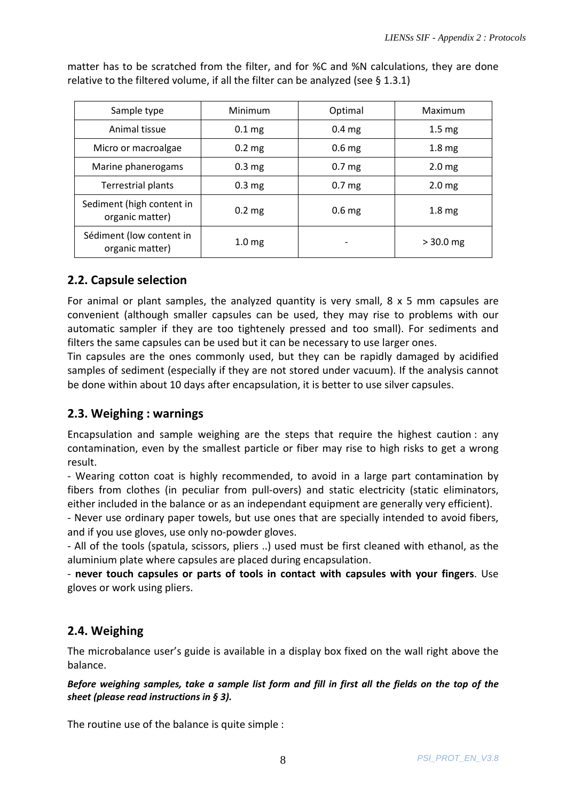| Sample type                                  | Minimum           | Optimal           | Maximum           |
|----------------------------------------------|-------------------|-------------------|-------------------|
| Animal tissue                                | 0.1 <sub>mg</sub> | 0.4 <sub>mg</sub> | 1.5 <sub>mg</sub> |
| Micro or macroalgae                          | $0.2 \text{ mg}$  | 0.6 <sub>mg</sub> | 1.8 <sub>mg</sub> |
| Marine phanerogams                           | 0.3 <sub>mg</sub> | 0.7 <sub>mg</sub> | 2.0 <sub>mg</sub> |
| Terrestrial plants                           | 0.3 <sub>mg</sub> | 0.7 <sub>mg</sub> | 2.0 <sub>mg</sub> |
| Sediment (high content in<br>organic matter) | $0.2 \text{ mg}$  | 0.6 <sub>mg</sub> | 1.8 <sub>mg</sub> |
| Sédiment (low content in<br>organic matter)  | 1.0 <sub>mg</sub> |                   | $> 30.0$ mg       |

matter has to be scratched from the filter, and for %C and %N calculations, they are done relative to the filtered volume, if all the filter can be analyzed (see § 1.3.1)

### **2.2. Capsule selection**

For animal or plant samples, the analyzed quantity is very small,  $8 \times 5$  mm capsules are convenient (although smaller capsules can be used, they may rise to problems with our automatic sampler if they are too tightenely pressed and too small). For sediments and filters the same capsules can be used but it can be necessary to use larger ones.

Tin capsules are the ones commonly used, but they can be rapidly damaged by acidified samples of sediment (especially if they are not stored under vacuum). If the analysis cannot be done within about 10 days after encapsulation, it is better to use silver capsules.

### **2.3. Weighing : warnings**

Encapsulation and sample weighing are the steps that require the highest caution : any contamination, even by the smallest particle or fiber may rise to high risks to get a wrong result.

- Wearing cotton coat is highly recommended, to avoid in a large part contamination by fibers from clothes (in peculiar from pull-overs) and static electricity (static eliminators, either included in the balance or as an independant equipment are generally very efficient).

- Never use ordinary paper towels, but use ones that are specially intended to avoid fibers, and if you use gloves, use only no-powder gloves.

- All of the tools (spatula, scissors, pliers ..) used must be first cleaned with ethanol, as the aluminium plate where capsules are placed during encapsulation.

- **never touch capsules or parts of tools in contact with capsules with your fingers**. Use gloves or work using pliers.

### **2.4. Weighing**

The microbalance user's guide is available in a display box fixed on the wall right above the balance.

*Before weighing samples, take a sample list form and fill in first all the fields on the top of the sheet (please read instructions in § 3).* 

The routine use of the balance is quite simple :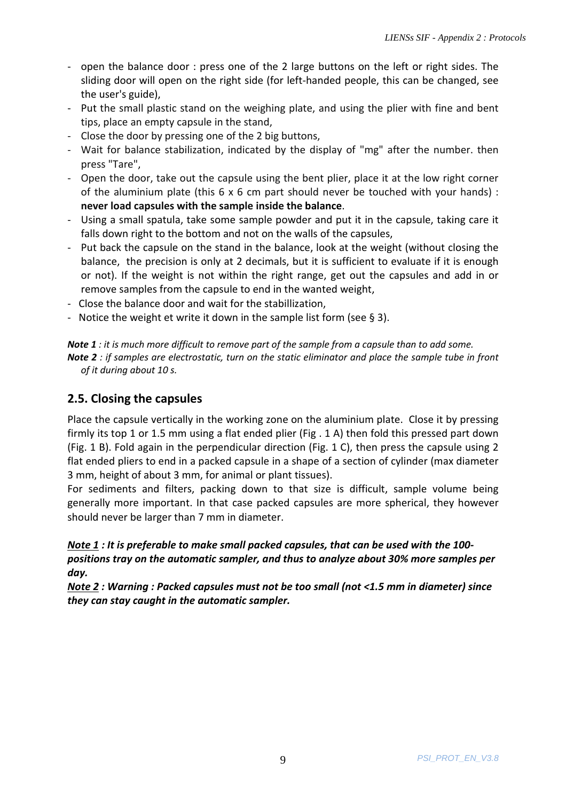- open the balance door : press one of the 2 large buttons on the left or right sides. The sliding door will open on the right side (for left-handed people, this can be changed, see the user's guide),
- Put the small plastic stand on the weighing plate, and using the plier with fine and bent tips, place an empty capsule in the stand,
- Close the door by pressing one of the 2 big buttons,
- Wait for balance stabilization, indicated by the display of "mg" after the number. then press "Tare",
- Open the door, take out the capsule using the bent plier, place it at the low right corner of the aluminium plate (this  $6 \times 6$  cm part should never be touched with your hands) : **never load capsules with the sample inside the balance**.
- Using a small spatula, take some sample powder and put it in the capsule, taking care it falls down right to the bottom and not on the walls of the capsules,
- Put back the capsule on the stand in the balance, look at the weight (without closing the balance, the precision is only at 2 decimals, but it is sufficient to evaluate if it is enough or not). If the weight is not within the right range, get out the capsules and add in or remove samples from the capsule to end in the wanted weight,
- Close the balance door and wait for the stabillization,
- Notice the weight et write it down in the sample list form (see § 3).

*Note 1 : it is much more difficult to remove part of the sample from a capsule than to add some. Note 2 : if samples are electrostatic, turn on the static eliminator and place the sample tube in front of it during about 10 s.* 

### **2.5. Closing the capsules**

Place the capsule vertically in the working zone on the aluminium plate. Close it by pressing firmly its top 1 or 1.5 mm using a flat ended plier (Fig . 1 A) then fold this pressed part down (Fig. 1 B). Fold again in the perpendicular direction (Fig. 1 C), then press the capsule using 2 flat ended pliers to end in a packed capsule in a shape of a section of cylinder (max diameter 3 mm, height of about 3 mm, for animal or plant tissues).

For sediments and filters, packing down to that size is difficult, sample volume being generally more important. In that case packed capsules are more spherical, they however should never be larger than 7 mm in diameter.

#### *Note 1 : It is preferable to make small packed capsules, that can be used with the 100 positions tray on the automatic sampler, and thus to analyze about 30% more samples per day.*

*Note 2 : Warning : Packed capsules must not be too small (not <1.5 mm in diameter) since they can stay caught in the automatic sampler.*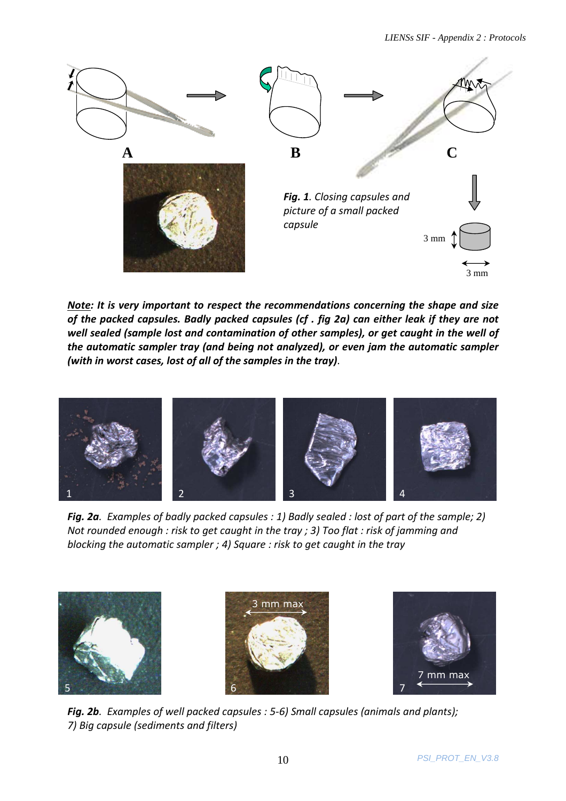

*Note: It is very important to respect the recommendations concerning the shape and size of the packed capsules. Badly packed capsules (cf . fig 2a) can either leak if they are not well sealed (sample lost and contamination of other samples), or get caught in the well of the automatic sampler tray (and being not analyzed), or even jam the automatic sampler (with in worst cases, lost of all of the samples in the tray)*.



*Fig. 2a. Examples of badly packed capsules : 1) Badly sealed : lost of part of the sample; 2) Not rounded enough : risk to get caught in the tray ; 3) Too flat : risk of jamming and blocking the automatic sampler ; 4) Square : risk to get caught in the tray* 







*Fig. 2b. Examples of well packed capsules : 5-6) Small capsules (animals and plants); 7) Big capsule (sediments and filters)*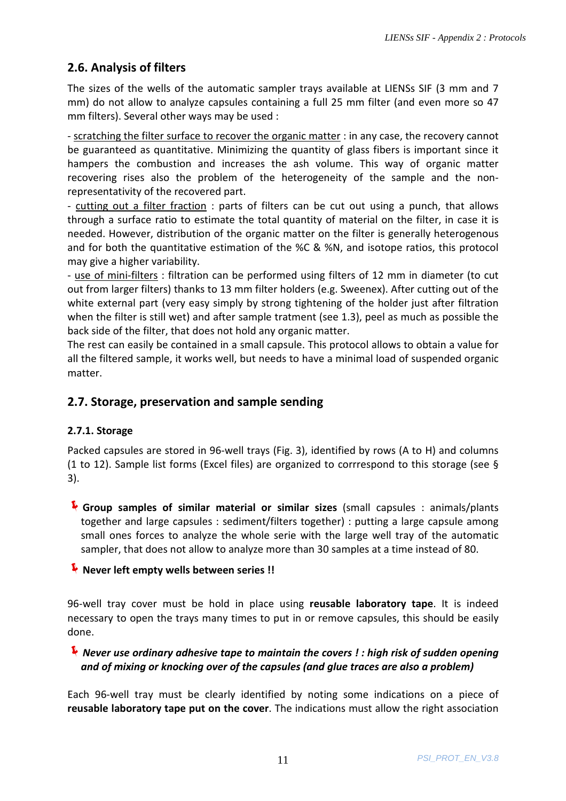### **2.6. Analysis of filters**

The sizes of the wells of the automatic sampler trays available at LIENSs SIF (3 mm and 7 mm) do not allow to analyze capsules containing a full 25 mm filter (and even more so 47 mm filters). Several other ways may be used :

- scratching the filter surface to recover the organic matter : in any case, the recovery cannot be guaranteed as quantitative. Minimizing the quantity of glass fibers is important since it hampers the combustion and increases the ash volume. This way of organic matter recovering rises also the problem of the heterogeneity of the sample and the nonrepresentativity of the recovered part.

- cutting out a filter fraction : parts of filters can be cut out using a punch, that allows through a surface ratio to estimate the total quantity of material on the filter, in case it is needed. However, distribution of the organic matter on the filter is generally heterogenous and for both the quantitative estimation of the %C & %N, and isotope ratios, this protocol may give a higher variability.

- use of mini-filters : filtration can be performed using filters of 12 mm in diameter (to cut out from larger filters) thanks to 13 mm filter holders (e.g. Sweenex). After cutting out of the white external part (very easy simply by strong tightening of the holder just after filtration when the filter is still wet) and after sample tratment (see 1.3), peel as much as possible the back side of the filter, that does not hold any organic matter.

The rest can easily be contained in a small capsule. This protocol allows to obtain a value for all the filtered sample, it works well, but needs to have a minimal load of suspended organic matter.

### **2.7. Storage, preservation and sample sending**

### **2.7.1. Storage**

Packed capsules are stored in 96-well trays (Fig. 3), identified by rows (A to H) and columns (1 to 12). Sample list forms (Excel files) are organized to corrrespond to this storage (see § 3).

**Group samples of similar material or similar sizes** (small capsules : animals/plants together and large capsules : sediment/filters together) : putting a large capsule among small ones forces to analyze the whole serie with the large well tray of the automatic sampler, that does not allow to analyze more than 30 samples at a time instead of 80.

### **Never left empty wells between series !!**

96-well tray cover must be hold in place using **reusable laboratory tape**. It is indeed necessary to open the trays many times to put in or remove capsules, this should be easily done.

### *Never use ordinary adhesive tape to maintain the covers ! : high risk of sudden opening and of mixing or knocking over of the capsules (and glue traces are also a problem)*

Each 96-well tray must be clearly identified by noting some indications on a piece of **reusable laboratory tape put on the cover**. The indications must allow the right association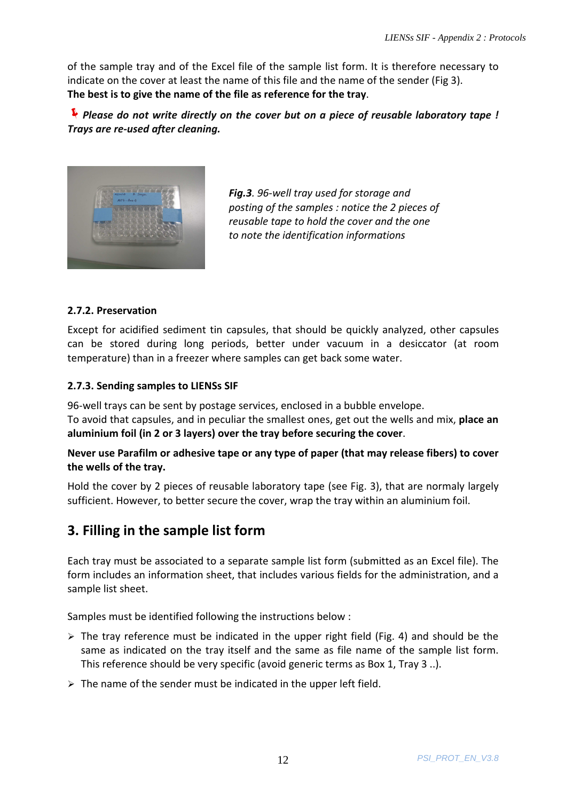of the sample tray and of the Excel file of the sample list form. It is therefore necessary to indicate on the cover at least the name of this file and the name of the sender (Fig 3). **The best is to give the name of the file as reference for the tray**.

*Please do not write directly on the cover but on a piece of reusable laboratory tape ! Trays are re-used after cleaning.*



*Fig.3. 96-well tray used for storage and posting of the samples : notice the 2 pieces of reusable tape to hold the cover and the one to note the identification informations* 

### **2.7.2. Preservation**

Except for acidified sediment tin capsules, that should be quickly analyzed, other capsules can be stored during long periods, better under vacuum in a desiccator (at room temperature) than in a freezer where samples can get back some water.

### **2.7.3. Sending samples to LIENSs SIF**

96-well trays can be sent by postage services, enclosed in a bubble envelope. To avoid that capsules, and in peculiar the smallest ones, get out the wells and mix, **place an aluminium foil (in 2 or 3 layers) over the tray before securing the cover**.

### **Never use Parafilm or adhesive tape or any type of paper (that may release fibers) to cover the wells of the tray.**

Hold the cover by 2 pieces of reusable laboratory tape (see Fig. 3), that are normaly largely sufficient. However, to better secure the cover, wrap the tray within an aluminium foil.

# **3. Filling in the sample list form**

Each tray must be associated to a separate sample list form (submitted as an Excel file). The form includes an information sheet, that includes various fields for the administration, and a sample list sheet.

Samples must be identified following the instructions below :

- $\triangleright$  The tray reference must be indicated in the upper right field (Fig. 4) and should be the same as indicated on the tray itself and the same as file name of the sample list form. This reference should be very specific (avoid generic terms as Box 1, Tray 3 ..).
- $\triangleright$  The name of the sender must be indicated in the upper left field.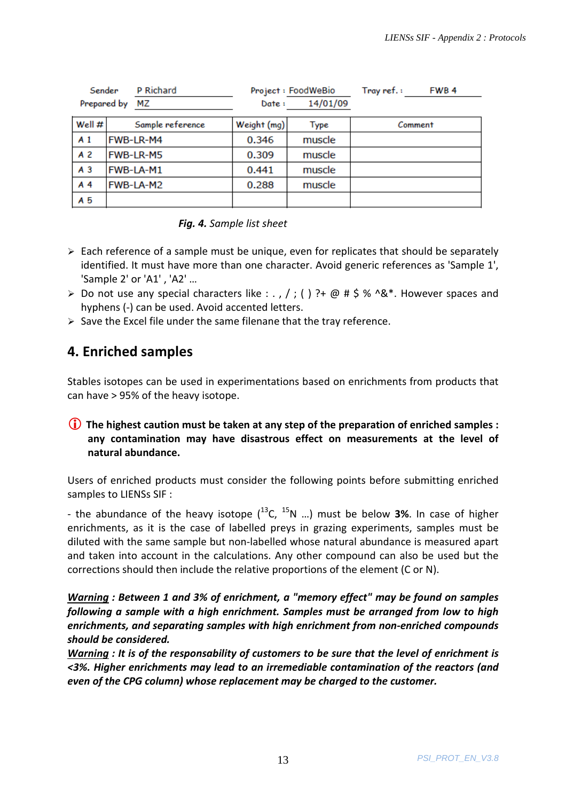| Sender         |  | P Richard        | Project : FoodWeBio |          | Tray ref.:<br>FWB <sub>4</sub> |
|----------------|--|------------------|---------------------|----------|--------------------------------|
| Prepared by    |  | мz               | Date:               | 14/01/09 |                                |
| Well #         |  | Sample reference | Weight (mg)         | Type     | Comment                        |
| A <sub>1</sub> |  | <b>FWB-LR-M4</b> | 0.346               | muscle   |                                |
| A 2            |  | <b>FWB-LR-M5</b> | 0.309               | muscle   |                                |
| A <sub>3</sub> |  | FWB-LA-M1        | 0.441               | muscle   |                                |
| A <sub>4</sub> |  | FWB-LA-M2        | 0.288               | muscle   |                                |
| A 5            |  |                  |                     |          |                                |

 *Fig. 4. Sample list sheet* 

- $\triangleright$  Each reference of a sample must be unique, even for replicates that should be separately identified. It must have more than one character. Avoid generic references as 'Sample 1', 'Sample 2' or 'A1' , 'A2' …
- $\triangleright$  Do not use any special characters like : ., /; () ?+ @ # \$ % ^&\*. However spaces and hyphens (-) can be used. Avoid accented letters.
- $\triangleright$  Save the Excel file under the same filenane that the tray reference.

## **4. Enriched samples**

Stables isotopes can be used in experimentations based on enrichments from products that can have > 95% of the heavy isotope.

### **(i)** The highest caution must be taken at any step of the preparation of enriched samples : **any contamination may have disastrous effect on measurements at the level of natural abundance.**

Users of enriched products must consider the following points before submitting enriched samples to LIENSs SIF :

- the abundance of the heavy isotope  $(^{13}C, ^{15}N, \ldots)$  must be below **3%**. In case of higher enrichments, as it is the case of labelled preys in grazing experiments, samples must be diluted with the same sample but non-labelled whose natural abundance is measured apart and taken into account in the calculations. Any other compound can also be used but the corrections should then include the relative proportions of the element (C or N).

*Warning : Between 1 and 3% of enrichment, a "memory effect" may be found on samples following a sample with a high enrichment. Samples must be arranged from low to high enrichments, and separating samples with high enrichment from non-enriched compounds should be considered.* 

*Warning : It is of the responsability of customers to be sure that the level of enrichment is <3%. Higher enrichments may lead to an irremediable contamination of the reactors (and even of the CPG column) whose replacement may be charged to the customer.*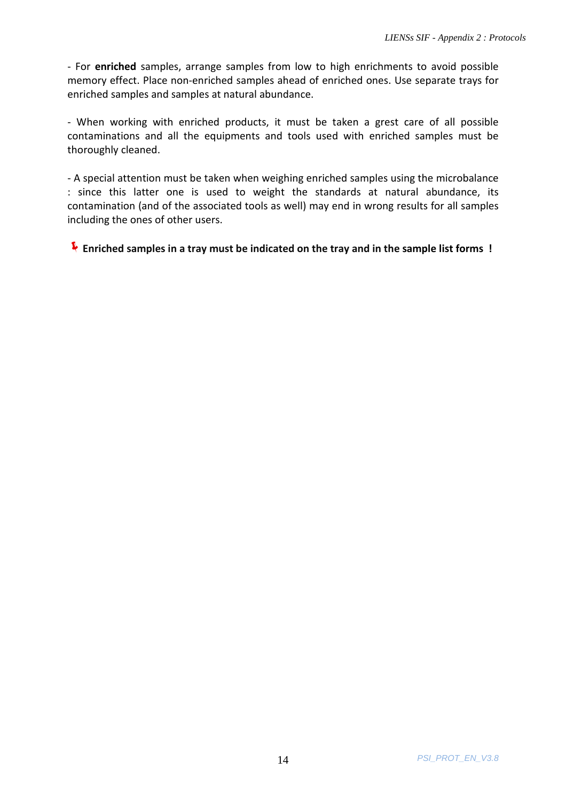- For **enriched** samples, arrange samples from low to high enrichments to avoid possible memory effect. Place non-enriched samples ahead of enriched ones. Use separate trays for enriched samples and samples at natural abundance.

- When working with enriched products, it must be taken a grest care of all possible contaminations and all the equipments and tools used with enriched samples must be thoroughly cleaned.

- A special attention must be taken when weighing enriched samples using the microbalance : since this latter one is used to weight the standards at natural abundance, its contamination (and of the associated tools as well) may end in wrong results for all samples including the ones of other users.

**Enriched samples in a tray must be indicated on the tray and in the sample list forms !**